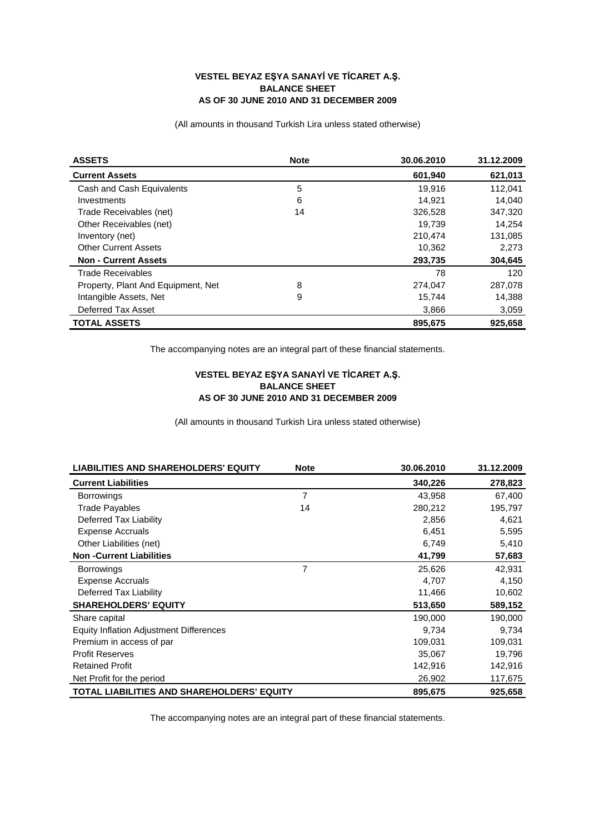## **VESTEL BEYAZ EYA SANAY**İ **VE T**İ**CARET A.. BALANCE SHEET AS OF 30 JUNE 2010 AND 31 DECEMBER 2009**

(All amounts in thousand Turkish Lira unless stated otherwise)

| <b>ASSETS</b>                      | <b>Note</b> | 30.06.2010 | 31.12.2009 |
|------------------------------------|-------------|------------|------------|
| <b>Current Assets</b>              |             | 601,940    | 621,013    |
| Cash and Cash Equivalents          | 5           | 19.916     | 112.041    |
| Investments                        | 6           | 14.921     | 14.040     |
| Trade Receivables (net)            | 14          | 326,528    | 347,320    |
| Other Receivables (net)            |             | 19,739     | 14,254     |
| Inventory (net)                    |             | 210,474    | 131,085    |
| <b>Other Current Assets</b>        |             | 10,362     | 2,273      |
| <b>Non - Current Assets</b>        |             | 293,735    | 304,645    |
| <b>Trade Receivables</b>           |             | 78         | 120        |
| Property, Plant And Equipment, Net | 8           | 274,047    | 287,078    |
| Intangible Assets, Net             | 9           | 15,744     | 14,388     |
| Deferred Tax Asset                 |             | 3,866      | 3,059      |
| <b>TOTAL ASSETS</b>                |             | 895.675    | 925.658    |

The accompanying notes are an integral part of these financial statements.

## **VESTEL BEYAZ EYA SANAY**İ **VE T**İ**CARET A.. BALANCE SHEET AS OF 30 JUNE 2010 AND 31 DECEMBER 2009**

(All amounts in thousand Turkish Lira unless stated otherwise)

| <b>LIABILITIES AND SHAREHOLDERS' EQUITY</b>       | <b>Note</b>    | 30.06.2010 | 31.12.2009 |
|---------------------------------------------------|----------------|------------|------------|
| <b>Current Liabilities</b>                        |                | 340,226    | 278,823    |
| <b>Borrowings</b>                                 | $\overline{7}$ | 43,958     | 67,400     |
| <b>Trade Payables</b>                             | 14             | 280,212    | 195,797    |
| Deferred Tax Liability                            |                | 2,856      | 4,621      |
| <b>Expense Accruals</b>                           |                | 6,451      | 5,595      |
| Other Liabilities (net)                           |                | 6,749      | 5,410      |
| <b>Non-Current Liabilities</b>                    |                | 41,799     | 57,683     |
| <b>Borrowings</b>                                 | 7              | 25,626     | 42,931     |
| <b>Expense Accruals</b>                           |                | 4,707      | 4,150      |
| Deferred Tax Liability                            |                | 11,466     | 10,602     |
| <b>SHAREHOLDERS' EQUITY</b>                       |                | 513,650    | 589,152    |
| Share capital                                     |                | 190,000    | 190,000    |
| <b>Equity Inflation Adjustment Differences</b>    |                | 9,734      | 9,734      |
| Premium in access of par                          |                | 109,031    | 109,031    |
| <b>Profit Reserves</b>                            |                | 35,067     | 19,796     |
| <b>Retained Profit</b>                            |                | 142,916    | 142,916    |
| Net Profit for the period                         |                | 26,902     | 117,675    |
| <b>TOTAL LIABILITIES AND SHAREHOLDERS' EQUITY</b> |                | 895,675    | 925,658    |

The accompanying notes are an integral part of these financial statements.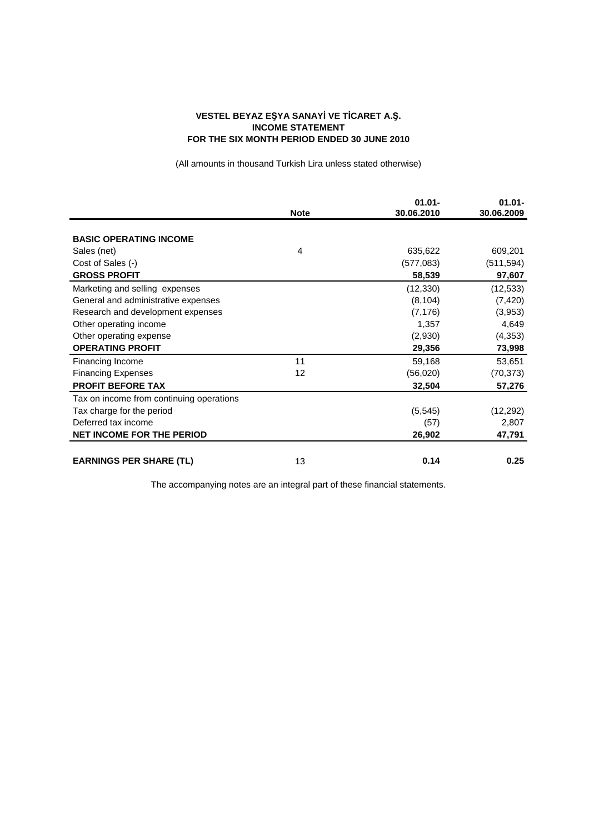## **VESTEL BEYAZ EYA SANAY**İ **VE T**İ**CARET A.. INCOME STATEMENT FOR THE SIX MONTH PERIOD ENDED 30 JUNE 2010**

(All amounts in thousand Turkish Lira unless stated otherwise)

|                                          |             | $01.01 -$  | $01.01 -$  |
|------------------------------------------|-------------|------------|------------|
|                                          | <b>Note</b> | 30.06.2010 | 30.06.2009 |
|                                          |             |            |            |
| <b>BASIC OPERATING INCOME</b>            |             |            |            |
| Sales (net)                              | 4           | 635,622    | 609,201    |
| Cost of Sales (-)                        |             | (577,083)  | (511, 594) |
| <b>GROSS PROFIT</b>                      |             | 58,539     | 97,607     |
| Marketing and selling expenses           |             | (12, 330)  | (12, 533)  |
| General and administrative expenses      |             | (8, 104)   | (7, 420)   |
| Research and development expenses        |             | (7, 176)   | (3,953)    |
| Other operating income                   |             | 1,357      | 4,649      |
| Other operating expense                  |             | (2,930)    | (4, 353)   |
| <b>OPERATING PROFIT</b>                  |             | 29,356     | 73,998     |
| Financing Income                         | 11          | 59,168     | 53,651     |
| <b>Financing Expenses</b>                | 12          | (56,020)   | (70, 373)  |
| <b>PROFIT BEFORE TAX</b>                 |             | 32,504     | 57,276     |
| Tax on income from continuing operations |             |            |            |
| Tax charge for the period                |             | (5, 545)   | (12, 292)  |
| Deferred tax income                      |             | (57)       | 2,807      |
| <b>NET INCOME FOR THE PERIOD</b>         |             | 26,902     | 47,791     |
| <b>EARNINGS PER SHARE (TL)</b>           | 13          | 0.14       | 0.25       |

The accompanying notes are an integral part of these financial statements.